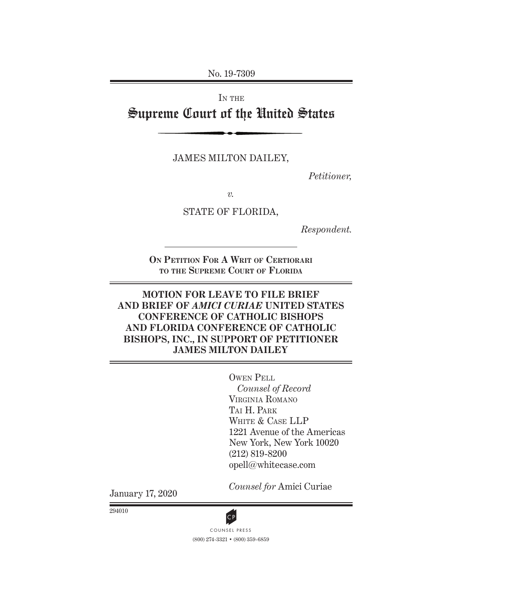No. 19-7309

IN THE Supreme Court of the United States

JAMES MILTON DAILEY,

*Petitioner,*

*v.*

STATE OF FLORIDA,

*Respondent.*

**On Petition For A Writ of Certiorari to the Supreme Court of Florida**

### **MOTION FOR LEAVE TO FILE BRIEF AND BRIEF OF** *AMICI CURIAE* **UNITED STATES CONFERENCE OF CATHOLIC BISHOPS AND FLORIDA CONFERENCE OF CATHOLIC BISHOPS, INC., IN SUPPORT OF PETITIONER JAMES MILTON DAILEY**

Owen Pell

*Counsel of Record* Virginia Romano Tai H. Park White & Case LLP 1221 Avenue of the Americas New York, New York 10020 (212) 819-8200 opell@whitecase.com

January 17, 2020

*Counsel for* Amici Curiae

294010



(800) 274-3321 • (800) 359-6859 CP<br>COUNSEL PRESS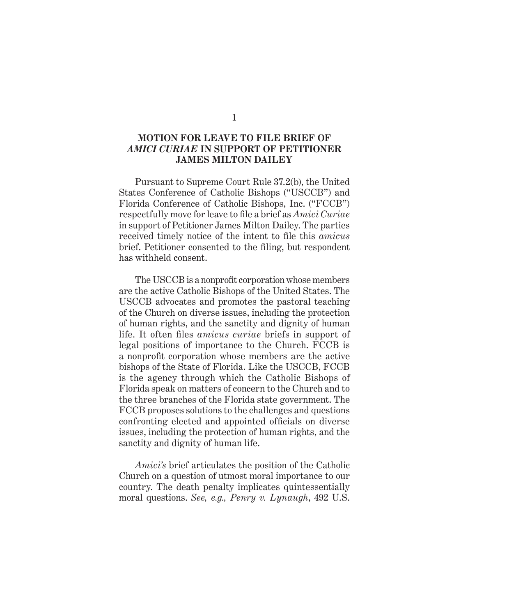#### **MOTION FOR LEAVE TO FILE BRIEF OF**  *AMICI CURIAE* **IN SUPPORT OF PETITIONER JAMES MILTON DAILEY**

Pursuant to Supreme Court Rule 37.2(b), the United States Conference of Catholic Bishops ("USCCB") and Florida Conference of Catholic Bishops, Inc. ("FCCB") respectfully move for leave to file a brief as *Amici Curiae* in support of Petitioner James Milton Dailey. The parties received timely notice of the intent to file this *amicus* brief. Petitioner consented to the filing, but respondent has withheld consent.

The USCCB is a nonprofit corporation whose members are the active Catholic Bishops of the United States. The USCCB advocates and promotes the pastoral teaching of the Church on diverse issues, including the protection of human rights, and the sanctity and dignity of human life. It often files *amicus curiae* briefs in support of legal positions of importance to the Church. FCCB is a nonprofit corporation whose members are the active bishops of the State of Florida. Like the USCCB, FCCB is the agency through which the Catholic Bishops of Florida speak on matters of concern to the Church and to the three branches of the Florida state government. The FCCB proposes solutions to the challenges and questions confronting elected and appointed officials on diverse issues, including the protection of human rights, and the sanctity and dignity of human life.

*Amici's* brief articulates the position of the Catholic Church on a question of utmost moral importance to our country. The death penalty implicates quintessentially moral questions. *See, e.g., Penry v. Lynaugh*, 492 U.S.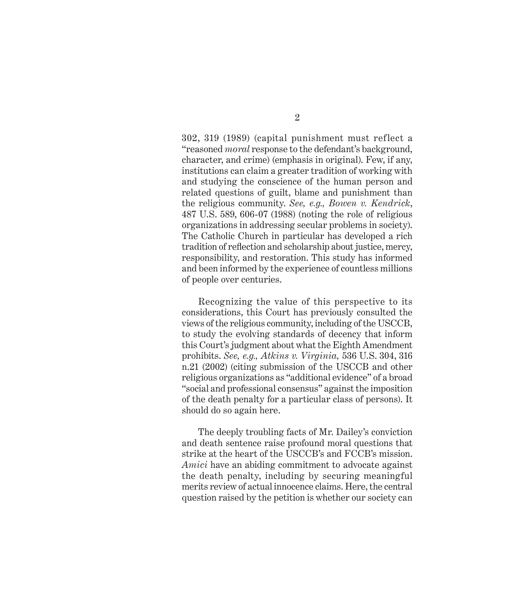302, 319 (1989) (capital punishment must reflect a "reasoned *moral* response to the defendant's background, character, and crime) (emphasis in original). Few, if any, institutions can claim a greater tradition of working with and studying the conscience of the human person and related questions of guilt, blame and punishment than the religious community. *See, e.g., Bowen v. Kendrick*, 487 U.S. 589, 606-07 (1988) (noting the role of religious organizations in addressing secular problems in society). The Catholic Church in particular has developed a rich tradition of reflection and scholarship about justice, mercy, responsibility, and restoration. This study has informed and been informed by the experience of countless millions of people over centuries.

Recognizing the value of this perspective to its considerations, this Court has previously consulted the views of the religious community, including of the USCCB, to study the evolving standards of decency that inform this Court's judgment about what the Eighth Amendment prohibits. *See, e.g., Atkins v. Virginia,* 536 U.S. 304, 316 n.21 (2002) (citing submission of the USCCB and other religious organizations as "additional evidence" of a broad "social and professional consensus" against the imposition of the death penalty for a particular class of persons). It should do so again here.

The deeply troubling facts of Mr. Dailey's conviction and death sentence raise profound moral questions that strike at the heart of the USCCB's and FCCB's mission. *Amici* have an abiding commitment to advocate against the death penalty, including by securing meaningful merits review of actual innocence claims. Here, the central question raised by the petition is whether our society can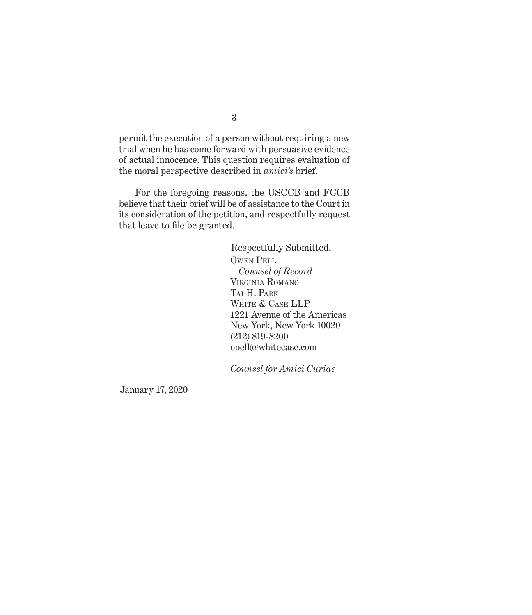permit the execution of a person without requiring a new trial when he has come forward with persuasive evidence of actual innocence. This question requires evaluation of the moral perspective described in *amici's* brief.

For the foregoing reasons, the USCCB and FCCB believe that their brief will be of assistance to the Court in its consideration of the petition, and respectfully request that leave to file be granted.

> Respectfully Submitted, Owen Pell *Counsel of Record* Virginia Romano Tai H. Park WHITE & CASE LLP 1221 Avenue of the Americas New York, New York 10020 (212) 819-8200 opell@whitecase.com

*Counsel for Amici Curiae*

January 17, 2020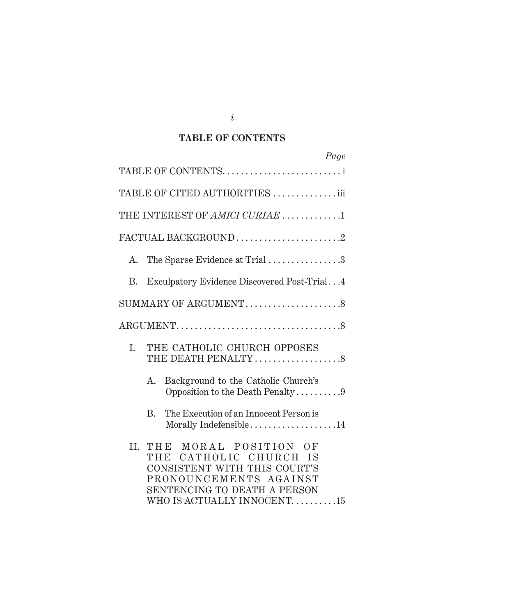## **TABLE OF CONTENTS**

| Page                                                                                                                                                                                   |
|----------------------------------------------------------------------------------------------------------------------------------------------------------------------------------------|
|                                                                                                                                                                                        |
| TABLE OF CITED AUTHORITIES iii                                                                                                                                                         |
| THE INTEREST OF AMICI CURIAE 1                                                                                                                                                         |
| FACTUAL BACKGROUND2                                                                                                                                                                    |
| The Sparse Evidence at Trial 3<br>А.                                                                                                                                                   |
| Exculpatory Evidence Discovered Post-Trial4<br>B.                                                                                                                                      |
| SUMMARY OF ARGUMENT8                                                                                                                                                                   |
|                                                                                                                                                                                        |
| THE CATHOLIC CHURCH OPPOSES<br>I.<br>THE DEATH PENALTY 8                                                                                                                               |
| Background to the Catholic Church's<br>А.<br>Opposition to the Death Penalty9                                                                                                          |
| The Execution of an Innocent Person is<br>B.<br>Morally Indefensible14                                                                                                                 |
| MORAL POSITION OF<br>II.<br>THE<br>CATHOLIC CHURCH IS<br>THE<br>CONSISTENT WITH THIS COURT'S<br>PRONOUNCEMENTS AGAINST<br>SENTENCING TO DEATH A PERSON<br>WHO IS ACTUALLY INNOCENT. 15 |

*i*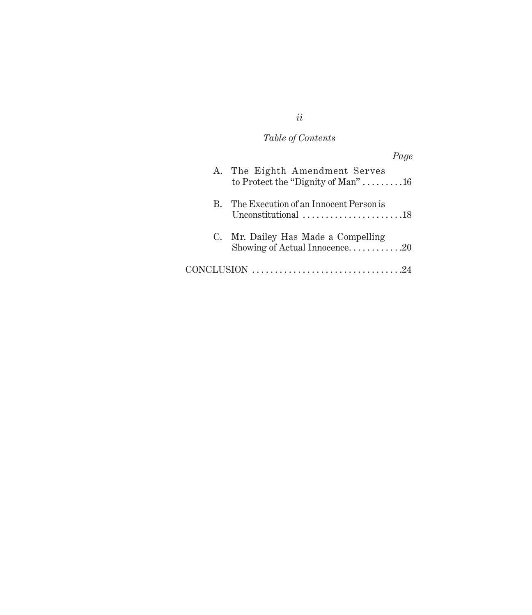## *Table of Contents*

|                                                                                      | Page |
|--------------------------------------------------------------------------------------|------|
| A. The Eighth Amendment Serves<br>to Protect the "Dignity of Man"16                  |      |
| B. The Execution of an Innocent Person is<br>Unconstitutional 18                     |      |
| C. Mr. Dailey Has Made a Compelling<br>Showing of Actual Innocence20                 |      |
| $CONCLUSION \dots \dots \dots \dots \dots \dots \dots \dots \dots \dots \dots \dots$ |      |

*ii*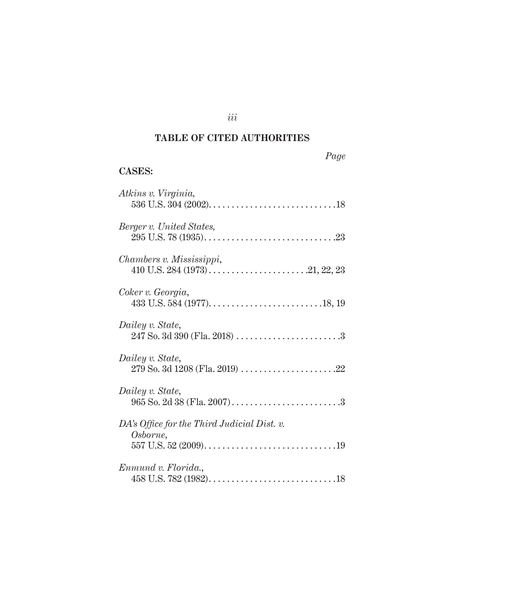## **TABLE OF CITED AUTHORITIES**

*iii*

| 20.AP |
|-------|
|-------|

## **CASES:**

| Atkins v. Virginia,                                     |
|---------------------------------------------------------|
| Berger v. United States,                                |
| Chambers v. Mississippi,                                |
| Coker v. Georgia,                                       |
| Dailey v. State,                                        |
| Dailey v. State,                                        |
| Dailey v. State,                                        |
| DA's Office for the Third Judicial Dist. v.<br>Osborne, |
|                                                         |
| Enmund v. Florida.,                                     |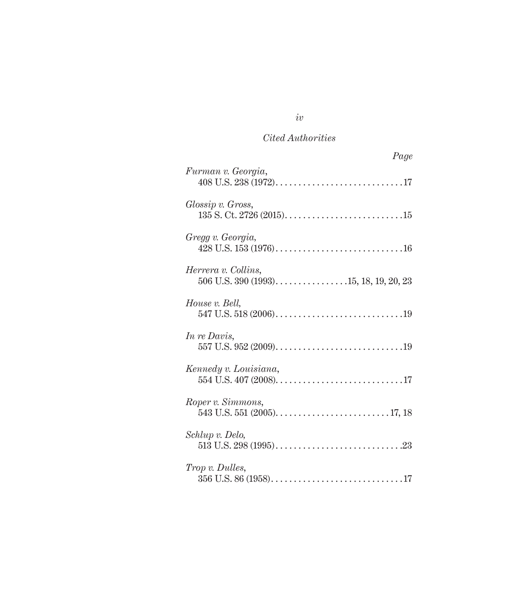| Page                                                             |
|------------------------------------------------------------------|
| Furman v. Georgia,                                               |
| Glossip v. Gross,                                                |
| Gregg v. Georgia,                                                |
| Herrera v. Collins,<br>$506$ U.S. $390$ (1993)15, 18, 19, 20, 23 |
| House v. Bell,                                                   |
| In re Davis,                                                     |
| Kennedy v. Louisiana,                                            |
| Roper v. Simmons,                                                |
| Schlup v. Delo,                                                  |
| <i>Trop v. Dulles,</i>                                           |

## *iv*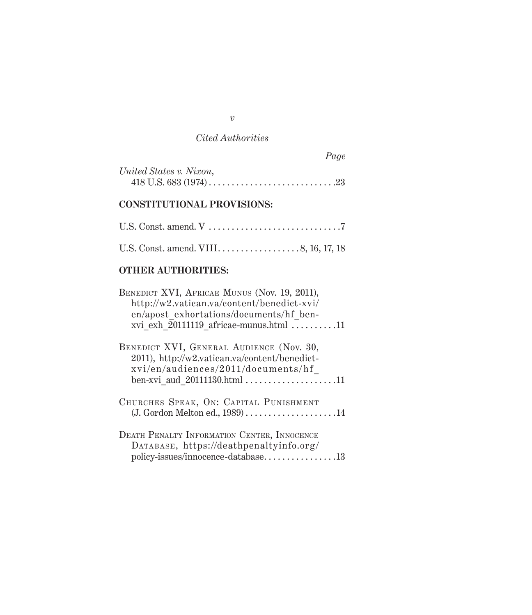|                         | Page |
|-------------------------|------|
| United States v. Nixon, |      |
|                         |      |

## **CONSTITUTIONAL PROVISIONS:**

## **OTHER AUTHORITIES:**

| BENEDICT XVI, AFRICAE MUNUS (Nov. 19, 2011),<br>http://w2.vatican.va/content/benedict-xvi/<br>en/apost exhortations/documents/hf ben-<br>xvi exh 20111119 africae-munus.html 11 |
|---------------------------------------------------------------------------------------------------------------------------------------------------------------------------------|
| BENEDICT XVI, GENERAL AUDIENCE (Nov. 30,<br>2011), http://w2.vatican.va/content/benedict-<br>xvi/en/audiences/2011/documents/hf<br>ben-xvi aud $20111130.html$ 11               |
| CHURCHES SPEAK, ON: CAPITAL PUNISHMENT<br>(J. Gordon Melton ed., 1989) 14                                                                                                       |
| DEATH PENALTY INFORMATION CENTER, INNOCENCE<br>DATABASE, https://deathpenaltyinfo.org/<br>policy-issues/innocence-database13                                                    |

*v*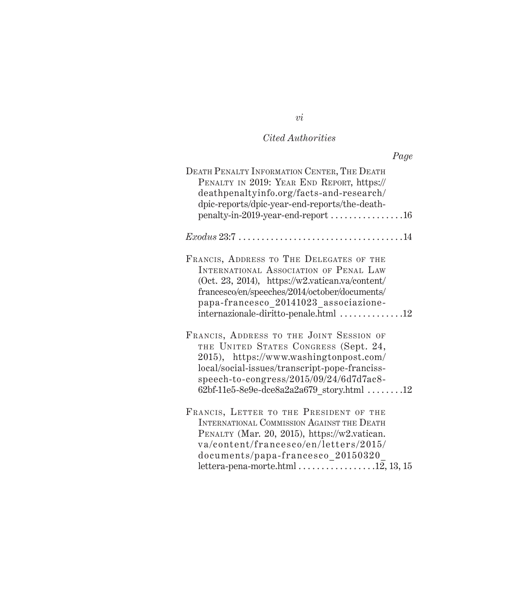|                                                                                                                                                                                                                                                                                                | Page |
|------------------------------------------------------------------------------------------------------------------------------------------------------------------------------------------------------------------------------------------------------------------------------------------------|------|
| DEATH PENALTY INFORMATION CENTER, THE DEATH<br>PENALTY IN 2019: YEAR END REPORT, https://<br>deathpenaltyinfo.org/facts-and-research/<br>dpic-reports/dpic-year-end-reports/the-death-<br>penalty-in-2019-year-end-report 16                                                                   |      |
| $Exodus 23.7 \ldots \ldots \ldots \ldots \ldots \ldots \ldots \ldots \ldots \ldots 14$                                                                                                                                                                                                         |      |
| FRANCIS, ADDRESS TO THE DELEGATES OF THE<br>INTERNATIONAL ASSOCIATION OF PENAL LAW<br>(Oct. 23, 2014), https://w2.vatican.va/content/<br>francesco/en/speeches/2014/october/documents/<br>papa-francesco_20141023_associazione-<br>internazionale-diritto-penale.html 12                       |      |
| FRANCIS, ADDRESS TO THE JOINT SESSION OF<br>THE UNITED STATES CONGRESS (Sept. 24,<br>2015), https://www.washingtonpost.com/<br>local/social-issues/transcript-pope-franciss-<br>speech-to-congress/2015/09/24/6d7d7ac8-<br>$62bf-11e5-8e9e-de8a2a2a679 story.html$ 12                          |      |
| FRANCIS, LETTER TO THE PRESIDENT OF THE<br>INTERNATIONAL COMMISSION AGAINST THE DEATH<br>PENALTY (Mar. 20, 2015), https://w2.vatican.<br>va/content/francesco/en/letters/2015/<br>documents/papa-francesco 20150320<br>lettera-pena-morte.html $\ldots \ldots \ldots \ldots \ldots 12, 13, 15$ |      |

*vi*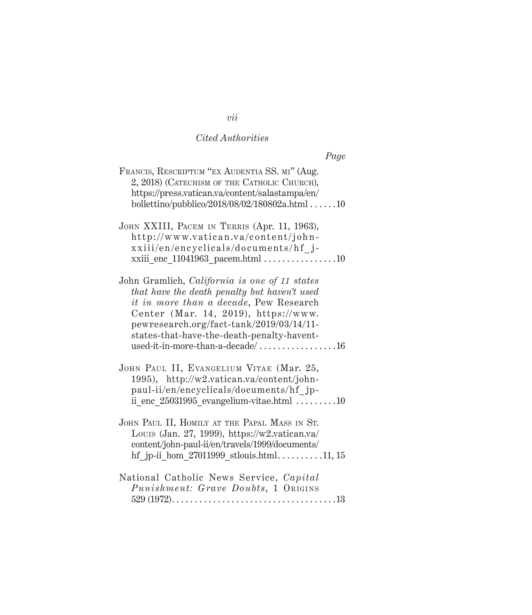| Page                                                                                                                                                                                                                                                                                                                                                                     |  |
|--------------------------------------------------------------------------------------------------------------------------------------------------------------------------------------------------------------------------------------------------------------------------------------------------------------------------------------------------------------------------|--|
| FRANCIS, RESCRIPTUM "EX AUDENTIA SS. MI" (Aug.<br>2, 2018) (CATECHISM OF THE CATHOLIC CHURCH),<br>https://press.vatican.va/content/salastampa/en/<br>bollettino/pubblico/2018/08/02/180802a.html 10                                                                                                                                                                      |  |
| JOHN XXIII, PACEM IN TERRIS (Apr. 11, 1963),<br>http://www.vatican.va/content/john-<br>xxiii/en/encyclicals/documents/hf j-<br>xxiii_enc_11041963_pacem.html $\dots\dots\dots\dots\dots10$                                                                                                                                                                               |  |
| John Gramlich, California is one of 11 states<br>that have the death penalty but haven't used<br>it in more than a decade, Pew Research<br>Center (Mar. 14, 2019), https://www.<br>pewresearch.org/fact-tank/2019/03/14/11-<br>states-that-have-the-death-penalty-havent-<br>$\label{eq:1} \text{used-it-in-more-than-a-decade}/ \dots \dots \dots \dots \dots \dots 16$ |  |
| JOHN PAUL II, EVANGELIUM VITAE (Mar. 25,<br>1995), http://w2.vatican.va/content/john-<br>paul-ii/en/encyclicals/documents/hf jp-<br>ii enc 25031995_evangelium-vitae.html 10                                                                                                                                                                                             |  |
| JOHN PAUL II, HOMILY AT THE PAPAL MASS IN ST.<br>Louis (Jan. 27, 1999), https://w2.vatican.va/<br>content/john-paul-ii/en/travels/1999/documents/<br>hf jp-ii hom $27011999$ stlouis.html11, 15                                                                                                                                                                          |  |
| National Catholic News Service, Capital<br><i>Punishment: Grave Doubts, 1 ORIGINS</i>                                                                                                                                                                                                                                                                                    |  |

## *vii*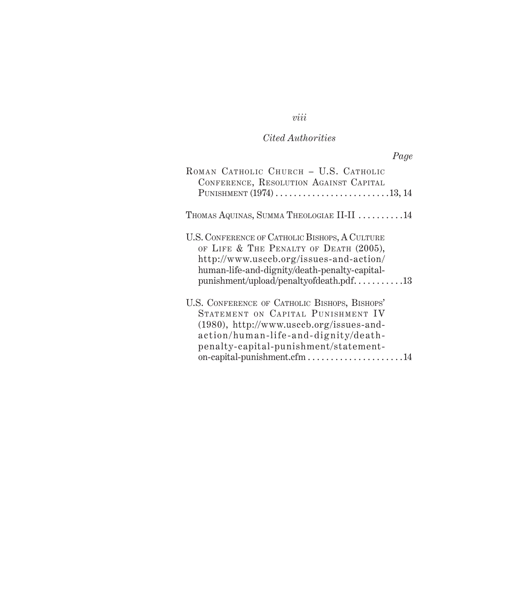# *viii*

## *Cited Authorities*

| Page                                                                                                                                                                                                                                               |
|----------------------------------------------------------------------------------------------------------------------------------------------------------------------------------------------------------------------------------------------------|
| ROMAN CATHOLIC CHURCH - U.S. CATHOLIC<br>CONFERENCE, RESOLUTION AGAINST CAPITAL<br>PUNISHMENT $(1974)$ 13, 14                                                                                                                                      |
|                                                                                                                                                                                                                                                    |
| THOMAS AQUINAS, SUMMA THEOLOGIAE II-II 14                                                                                                                                                                                                          |
| U.S. CONFERENCE OF CATHOLIC BISHOPS, A CULTURE<br>OF LIFE & THE PENALTY OF DEATH (2005),<br>http://www.usccb.org/issues-and-action/<br>human-life-and-dignity/death-penalty-capital-<br>$p$ unishment/upload/penaltyofdeath.pdf13                  |
| U.S. CONFERENCE OF CATHOLIC BISHOPS, BISHOPS'<br>STATEMENT ON CAPITAL PUNISHMENT IV<br>$(1980)$ , http://www.usccb.org/issues-and-<br>action/human-life-and-dignity/death-<br>penalty-capital-punishment/statement-<br>on-capital-punishment.cfm14 |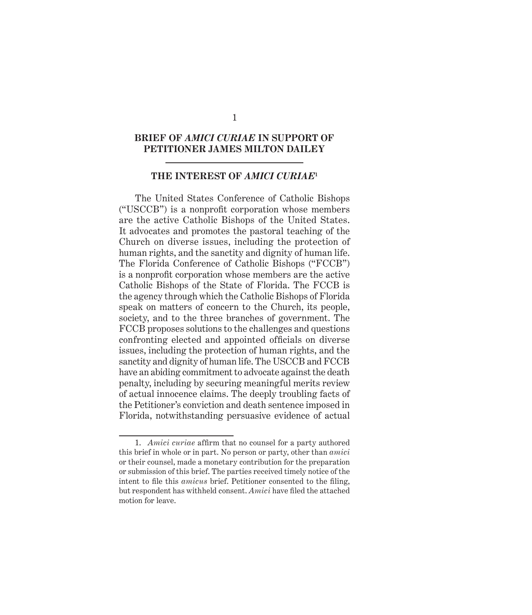#### **BRIEF OF** *AMICI CURIAE* **IN SUPPORT OF PETITIONER JAMES MILTON DAILEY**

#### **THE INTEREST OF** *AMICI CURIAE***<sup>1</sup>**

The United States Conference of Catholic Bishops ("USCCB") is a nonprofit corporation whose members are the active Catholic Bishops of the United States. It advocates and promotes the pastoral teaching of the Church on diverse issues, including the protection of human rights, and the sanctity and dignity of human life. The Florida Conference of Catholic Bishops ("FCCB") is a nonprofit corporation whose members are the active Catholic Bishops of the State of Florida. The FCCB is the agency through which the Catholic Bishops of Florida speak on matters of concern to the Church, its people, society, and to the three branches of government. The FCCB proposes solutions to the challenges and questions confronting elected and appointed officials on diverse issues, including the protection of human rights, and the sanctity and dignity of human life. The USCCB and FCCB have an abiding commitment to advocate against the death penalty, including by securing meaningful merits review of actual innocence claims. The deeply troubling facts of the Petitioner's conviction and death sentence imposed in Florida, notwithstanding persuasive evidence of actual

<sup>1.</sup> *Amici curiae* affirm that no counsel for a party authored this brief in whole or in part. No person or party, other than *amici* or their counsel, made a monetary contribution for the preparation or submission of this brief. The parties received timely notice of the intent to file this *amicus* brief. Petitioner consented to the filing, but respondent has withheld consent. *Amici* have filed the attached motion for leave.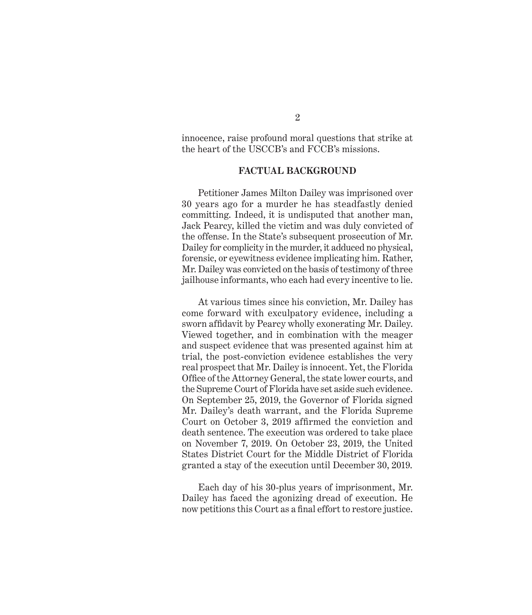innocence, raise profound moral questions that strike at the heart of the USCCB's and FCCB's missions.

#### **FACTUAL BACKGROUND**

Petitioner James Milton Dailey was imprisoned over 30 years ago for a murder he has steadfastly denied committing. Indeed, it is undisputed that another man, Jack Pearcy, killed the victim and was duly convicted of the offense. In the State's subsequent prosecution of Mr. Dailey for complicity in the murder, it adduced no physical, forensic, or eyewitness evidence implicating him. Rather, Mr. Dailey was convicted on the basis of testimony of three jailhouse informants, who each had every incentive to lie.

At various times since his conviction, Mr. Dailey has come forward with exculpatory evidence, including a sworn affidavit by Pearcy wholly exonerating Mr. Dailey. Viewed together, and in combination with the meager and suspect evidence that was presented against him at trial, the post-conviction evidence establishes the very real prospect that Mr. Dailey is innocent. Yet, the Florida Office of the Attorney General, the state lower courts, and the Supreme Court of Florida have set aside such evidence. On September 25, 2019, the Governor of Florida signed Mr. Dailey's death warrant, and the Florida Supreme Court on October 3, 2019 affirmed the conviction and death sentence. The execution was ordered to take place on November 7, 2019. On October 23, 2019, the United States District Court for the Middle District of Florida granted a stay of the execution until December 30, 2019.

Each day of his 30-plus years of imprisonment, Mr. Dailey has faced the agonizing dread of execution. He now petitions this Court as a final effort to restore justice.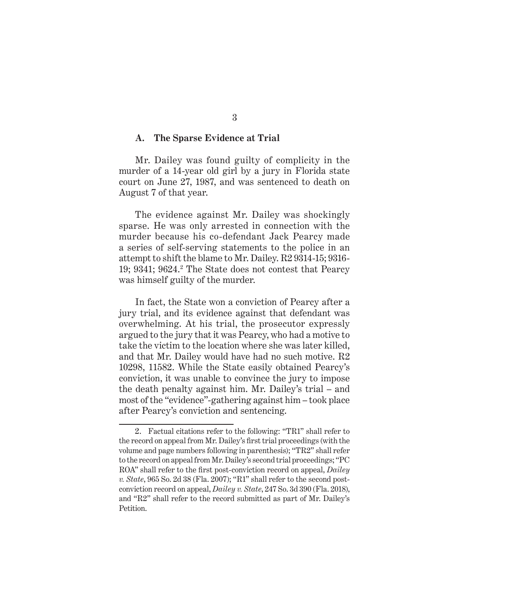#### **A. The Sparse Evidence at Trial**

Mr. Dailey was found guilty of complicity in the murder of a 14-year old girl by a jury in Florida state court on June 27, 1987, and was sentenced to death on August 7 of that year.

The evidence against Mr. Dailey was shockingly sparse. He was only arrested in connection with the murder because his co-defendant Jack Pearcy made a series of self-serving statements to the police in an attempt to shift the blame to Mr. Dailey. R2 9314-15; 9316- 19; 9341; 9624.<sup>2</sup> The State does not contest that Pearcy was himself guilty of the murder.

In fact, the State won a conviction of Pearcy after a jury trial, and its evidence against that defendant was overwhelming. At his trial, the prosecutor expressly argued to the jury that it was Pearcy, who had a motive to take the victim to the location where she was later killed, and that Mr. Dailey would have had no such motive. R2 10298, 11582. While the State easily obtained Pearcy's conviction, it was unable to convince the jury to impose the death penalty against him. Mr. Dailey's trial – and most of the "evidence"-gathering against him – took place after Pearcy's conviction and sentencing.

<sup>2.</sup> Factual citations refer to the following: "TR1" shall refer to the record on appeal from Mr. Dailey's first trial proceedings (with the volume and page numbers following in parenthesis); "TR2" shall refer to the record on appeal from Mr. Dailey's second trial proceedings; "PC ROA" shall refer to the first post-conviction record on appeal, *Dailey v. State*, 965 So. 2d 38 (Fla. 2007); "R1" shall refer to the second postconviction record on appeal, *Dailey v. State*, 247 So. 3d 390 (Fla. 2018), and "R2" shall refer to the record submitted as part of Mr. Dailey's Petition.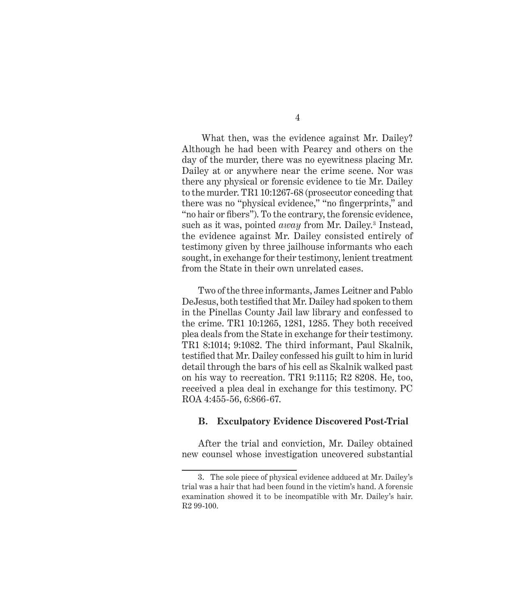What then, was the evidence against Mr. Dailey? Although he had been with Pearcy and others on the day of the murder, there was no eyewitness placing Mr. Dailey at or anywhere near the crime scene. Nor was there any physical or forensic evidence to tie Mr. Dailey to the murder. TR1 10:1267-68 (prosecutor conceding that there was no "physical evidence," "no fingerprints," and "no hair or fibers"). To the contrary, the forensic evidence, such as it was, pointed *away* from Mr. Dailey.<sup>3</sup> Instead, the evidence against Mr. Dailey consisted entirely of testimony given by three jailhouse informants who each sought, in exchange for their testimony, lenient treatment from the State in their own unrelated cases.

Two of the three informants, James Leitner and Pablo DeJesus, both testified that Mr. Dailey had spoken to them in the Pinellas County Jail law library and confessed to the crime. TR1 10:1265, 1281, 1285. They both received plea deals from the State in exchange for their testimony. TR1 8:1014; 9:1082. The third informant, Paul Skalnik, testified that Mr. Dailey confessed his guilt to him in lurid detail through the bars of his cell as Skalnik walked past on his way to recreation. TR1 9:1115; R2 8208. He, too, received a plea deal in exchange for this testimony. PC ROA 4:455-56, 6:866-67.

#### **B. Exculpatory Evidence Discovered Post-Trial**

After the trial and conviction, Mr. Dailey obtained new counsel whose investigation uncovered substantial

<sup>3.</sup> The sole piece of physical evidence adduced at Mr. Dailey's trial was a hair that had been found in the victim's hand. A forensic examination showed it to be incompatible with Mr. Dailey's hair. R2 99-100.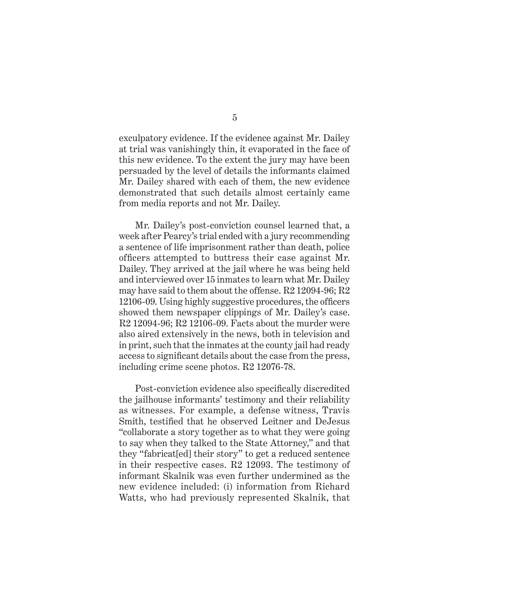exculpatory evidence. If the evidence against Mr. Dailey at trial was vanishingly thin, it evaporated in the face of this new evidence. To the extent the jury may have been persuaded by the level of details the informants claimed Mr. Dailey shared with each of them, the new evidence demonstrated that such details almost certainly came from media reports and not Mr. Dailey.

Mr. Dailey's post-conviction counsel learned that, a week after Pearcy's trial ended with a jury recommending a sentence of life imprisonment rather than death, police officers attempted to buttress their case against Mr. Dailey. They arrived at the jail where he was being held and interviewed over 15 inmates to learn what Mr. Dailey may have said to them about the offense. R2 12094-96; R2 12106-09. Using highly suggestive procedures, the officers showed them newspaper clippings of Mr. Dailey's case. R2 12094-96; R2 12106-09. Facts about the murder were also aired extensively in the news, both in television and in print, such that the inmates at the county jail had ready access to significant details about the case from the press, including crime scene photos. R2 12076-78.

Post-conviction evidence also specifically discredited the jailhouse informants' testimony and their reliability as witnesses. For example, a defense witness, Travis Smith, testified that he observed Leitner and DeJesus "collaborate a story together as to what they were going to say when they talked to the State Attorney," and that they "fabricat[ed] their story" to get a reduced sentence in their respective cases. R2 12093. The testimony of informant Skalnik was even further undermined as the new evidence included: (i) information from Richard Watts, who had previously represented Skalnik, that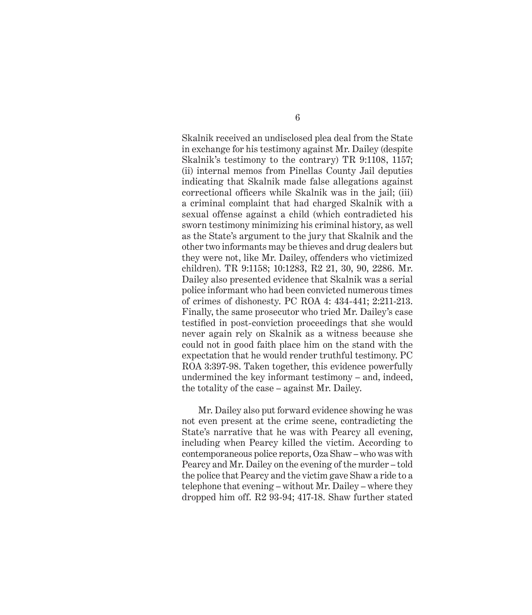Skalnik received an undisclosed plea deal from the State in exchange for his testimony against Mr. Dailey (despite Skalnik's testimony to the contrary) TR 9:1108, 1157; (ii) internal memos from Pinellas County Jail deputies indicating that Skalnik made false allegations against correctional officers while Skalnik was in the jail; (iii) a criminal complaint that had charged Skalnik with a sexual offense against a child (which contradicted his sworn testimony minimizing his criminal history, as well as the State's argument to the jury that Skalnik and the other two informants may be thieves and drug dealers but they were not, like Mr. Dailey, offenders who victimized children). TR 9:1158; 10:1283, R2 21, 30, 90, 2286. Mr. Dailey also presented evidence that Skalnik was a serial police informant who had been convicted numerous times of crimes of dishonesty. PC ROA 4: 434-441; 2:211-213. Finally, the same prosecutor who tried Mr. Dailey's case testified in post-conviction proceedings that she would never again rely on Skalnik as a witness because she could not in good faith place him on the stand with the expectation that he would render truthful testimony. PC ROA 3:397-98. Taken together, this evidence powerfully undermined the key informant testimony – and, indeed, the totality of the case – against Mr. Dailey.

Mr. Dailey also put forward evidence showing he was not even present at the crime scene, contradicting the State's narrative that he was with Pearcy all evening, including when Pearcy killed the victim. According to contemporaneous police reports, Oza Shaw – who was with Pearcy and Mr. Dailey on the evening of the murder – told the police that Pearcy and the victim gave Shaw a ride to a telephone that evening – without Mr. Dailey – where they dropped him off. R2 93-94; 417-18. Shaw further stated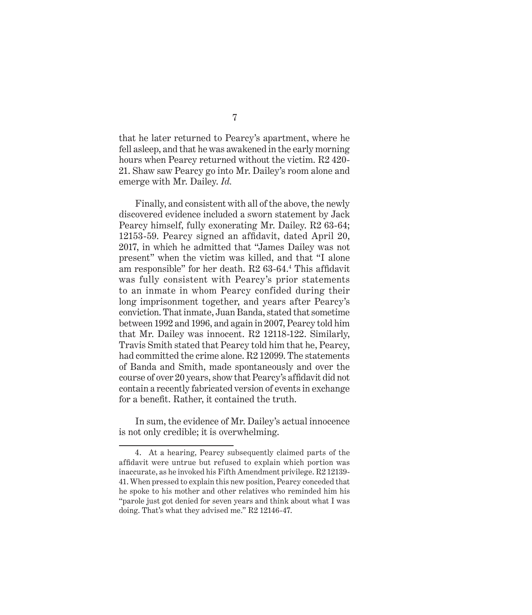that he later returned to Pearcy's apartment, where he fell asleep, and that he was awakened in the early morning hours when Pearcy returned without the victim. R2 420- 21. Shaw saw Pearcy go into Mr. Dailey's room alone and emerge with Mr. Dailey. *Id.* 

Finally, and consistent with all of the above, the newly discovered evidence included a sworn statement by Jack Pearcy himself, fully exonerating Mr. Dailey. R2 63-64; 12153-59. Pearcy signed an affidavit, dated April 20, 2017, in which he admitted that "James Dailey was not present" when the victim was killed, and that "I alone am responsible" for her death. R2 63-64.<sup>4</sup> This affidavit was fully consistent with Pearcy's prior statements to an inmate in whom Pearcy confided during their long imprisonment together, and years after Pearcy's conviction. That inmate, Juan Banda, stated that sometime between 1992 and 1996, and again in 2007, Pearcy told him that Mr. Dailey was innocent. R2 12118-122. Similarly, Travis Smith stated that Pearcy told him that he, Pearcy, had committed the crime alone. R2 12099. The statements of Banda and Smith, made spontaneously and over the course of over 20 years, show that Pearcy's affidavit did not contain a recently fabricated version of events in exchange for a benefit. Rather, it contained the truth.

In sum, the evidence of Mr. Dailey's actual innocence is not only credible; it is overwhelming.

<sup>4.</sup> At a hearing, Pearcy subsequently claimed parts of the affidavit were untrue but refused to explain which portion was inaccurate, as he invoked his Fifth Amendment privilege. R2 12139- 41. When pressed to explain this new position, Pearcy conceded that he spoke to his mother and other relatives who reminded him his "parole just got denied for seven years and think about what I was doing. That's what they advised me." R2 12146-47.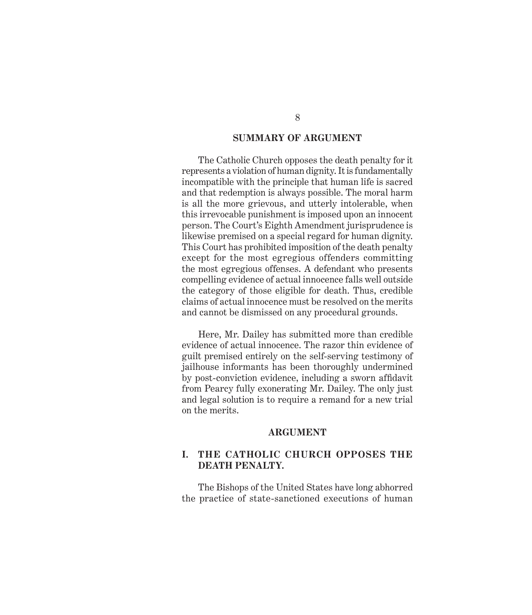#### **SUMMARY OF ARGUMENT**

The Catholic Church opposes the death penalty for it represents a violation of human dignity. It is fundamentally incompatible with the principle that human life is sacred and that redemption is always possible. The moral harm is all the more grievous, and utterly intolerable, when this irrevocable punishment is imposed upon an innocent person. The Court's Eighth Amendment jurisprudence is likewise premised on a special regard for human dignity. This Court has prohibited imposition of the death penalty except for the most egregious offenders committing the most egregious offenses. A defendant who presents compelling evidence of actual innocence falls well outside the category of those eligible for death. Thus, credible claims of actual innocence must be resolved on the merits and cannot be dismissed on any procedural grounds.

Here, Mr. Dailey has submitted more than credible evidence of actual innocence. The razor thin evidence of guilt premised entirely on the self-serving testimony of jailhouse informants has been thoroughly undermined by post-conviction evidence, including a sworn affidavit from Pearcy fully exonerating Mr. Dailey. The only just and legal solution is to require a remand for a new trial on the merits.

#### **ARGUMENT**

#### **I. THE CATHOLIC CHURCH OPPOSES THE DEATH PENALTY.**

The Bishops of the United States have long abhorred the practice of state-sanctioned executions of human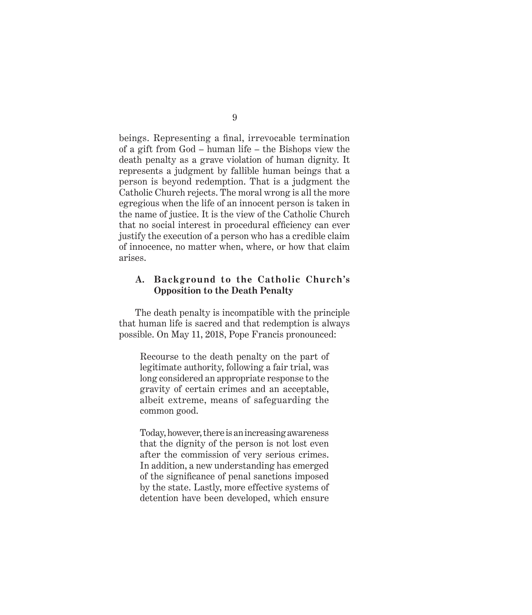beings. Representing a final, irrevocable termination of a gift from God – human life – the Bishops view the death penalty as a grave violation of human dignity. It represents a judgment by fallible human beings that a person is beyond redemption. That is a judgment the Catholic Church rejects. The moral wrong is all the more egregious when the life of an innocent person is taken in the name of justice. It is the view of the Catholic Church that no social interest in procedural efficiency can ever justify the execution of a person who has a credible claim of innocence, no matter when, where, or how that claim arises.

#### **A. Background to the Catholic Church's Opposition to the Death Penalty**

The death penalty is incompatible with the principle that human life is sacred and that redemption is always possible. On May 11, 2018, Pope Francis pronounced:

Recourse to the death penalty on the part of legitimate authority, following a fair trial, was long considered an appropriate response to the gravity of certain crimes and an acceptable, albeit extreme, means of safeguarding the common good.

Today, however, there is an increasing awareness that the dignity of the person is not lost even after the commission of very serious crimes. In addition, a new understanding has emerged of the significance of penal sanctions imposed by the state. Lastly, more effective systems of detention have been developed, which ensure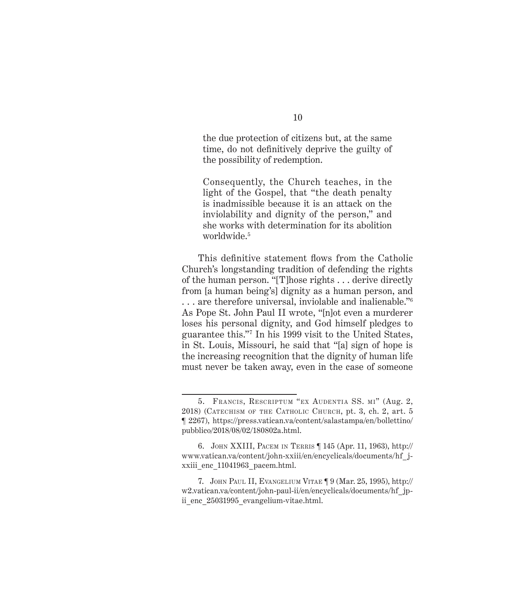the due protection of citizens but, at the same time, do not definitively deprive the guilty of the possibility of redemption.

Consequently, the Church teaches, in the light of the Gospel, that "the death penalty is inadmissible because it is an attack on the inviolability and dignity of the person," and she works with determination for its abolition worldwide.<sup>5</sup>

This definitive statement flows from the Catholic Church's longstanding tradition of defending the rights of the human person. "[T]hose rights . . . derive directly from [a human being's] dignity as a human person, and . . . are therefore universal, inviolable and inalienable."<sup>6</sup> As Pope St. John Paul II wrote, "[n]ot even a murderer loses his personal dignity, and God himself pledges to guarantee this."<sup>7</sup> In his 1999 visit to the United States, in St. Louis, Missouri, he said that "[a] sign of hope is the increasing recognition that the dignity of human life must never be taken away, even in the case of someone

<sup>5.</sup> Francis, Rescriptum "ex Audentia SS. mi" (Aug. 2, 2018) (Catechism of the Catholic Church, pt. 3, ch. 2, art. 5 ¶ 2267), https://press.vatican.va/content/salastampa/en/bollettino/ pubblico/2018/08/02/180802a.html.

<sup>6.</sup> John XXIII, Pacem in Terris ¶ 145 (Apr. 11, 1963), http:// www.vatican.va/content/john-xxiii/en/encyclicals/documents/hf\_jxxiii\_enc\_11041963\_pacem.html.

<sup>7.</sup> John Paul II, Evangelium Vitae ¶ 9 (Mar. 25, 1995), http:// w2.vatican.va/content/john-paul-ii/en/encyclicals/documents/hf\_jpii enc 25031995 evangelium-vitae.html.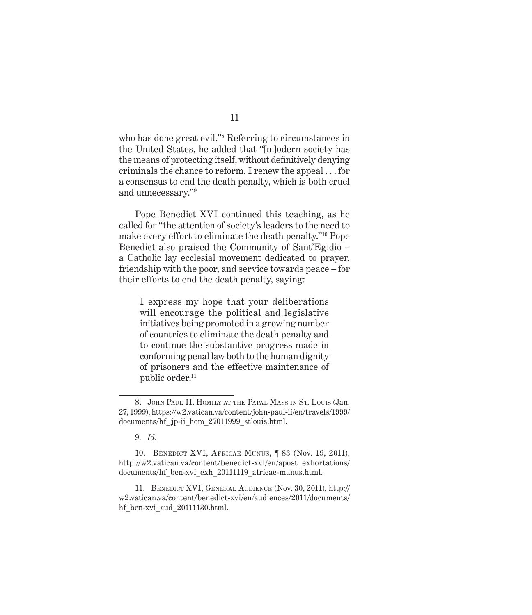who has done great evil."<sup>8</sup> Referring to circumstances in the United States, he added that "[m]odern society has the means of protecting itself, without definitively denying criminals the chance to reform. I renew the appeal . . . for a consensus to end the death penalty, which is both cruel and unnecessary."9

Pope Benedict XVI continued this teaching, as he called for "the attention of society's leaders to the need to make every effort to eliminate the death penalty."10 Pope Benedict also praised the Community of Sant'Egidio – a Catholic lay ecclesial movement dedicated to prayer, friendship with the poor, and service towards peace – for their efforts to end the death penalty, saying:

I express my hope that your deliberations will encourage the political and legislative initiatives being promoted in a growing number of countries to eliminate the death penalty and to continue the substantive progress made in conforming penal law both to the human dignity of prisoners and the effective maintenance of public order.<sup>11</sup>

11. Benedict XVI, General Audience (Nov. 30, 2011), http:// w2.vatican.va/content/benedict-xvi/en/audiences/2011/documents/ hf ben-xvi aud 20111130.html.

<sup>8.</sup> John Paul II, Homily at the Papal Mass in St. Louis (Jan. 27, 1999), https://w2.vatican.va/content/john-paul-ii/en/travels/1999/ documents/hf\_jp-ii\_hom\_27011999\_stlouis.html.

<sup>9.</sup> *Id*.

<sup>10.</sup> Benedict XVI, Africae Munus, ¶ 83 (Nov. 19, 2011), http://w2.vatican.va/content/benedict-xvi/en/apost\_exhortations/ documents/hf\_ben-xvi\_exh\_20111119\_africae-munus.html.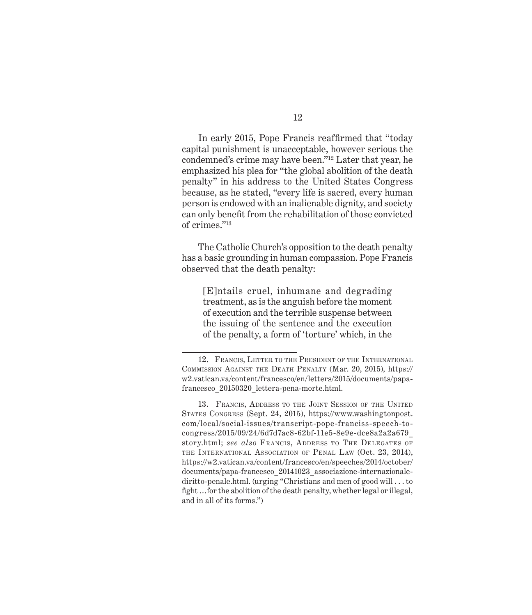In early 2015, Pope Francis reaffirmed that "today capital punishment is unacceptable, however serious the condemned's crime may have been."12 Later that year, he emphasized his plea for "the global abolition of the death penalty" in his address to the United States Congress because, as he stated, "every life is sacred, every human person is endowed with an inalienable dignity, and society can only benefit from the rehabilitation of those convicted of crimes."13

The Catholic Church's opposition to the death penalty has a basic grounding in human compassion. Pope Francis observed that the death penalty:

[E]ntails cruel, inhumane and degrading treatment, as is the anguish before the moment of execution and the terrible suspense between the issuing of the sentence and the execution of the penalty, a form of 'torture' which, in the

<sup>12.</sup> Francis, Letter to the President of the International Commission Against the Death Penalty (Mar. 20, 2015), https:// w2.vatican.va/content/francesco/en/letters/2015/documents/papafrancesco\_20150320\_lettera-pena-morte.html.

<sup>13.</sup> Francis, Address to the Joint Session of the United States Congress (Sept. 24, 2015), https://www.washingtonpost. com/local/social-issues/transcript-pope-franciss-speech-tocongress/2015/09/24/6d7d7ac8-62bf-11e5-8e9e-dce8a2a2a679\_ story.html; *see also* FRANCIS, ADDRESS TO THE DELEGATES OF the International Association of Penal Law (Oct. 23, 2014), https://w2.vatican.va/content/francesco/en/speeches/2014/october/ documents/papa-francesco\_20141023\_associazione-internazionalediritto-penale.html. (urging "Christians and men of good will . . . to fight …for the abolition of the death penalty, whether legal or illegal, and in all of its forms.")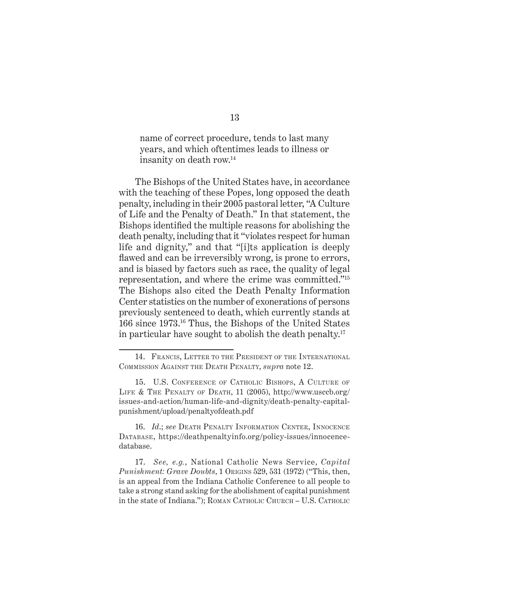name of correct procedure, tends to last many years, and which oftentimes leads to illness or insanity on death row.14

The Bishops of the United States have, in accordance with the teaching of these Popes, long opposed the death penalty, including in their 2005 pastoral letter, "A Culture of Life and the Penalty of Death." In that statement, the Bishops identified the multiple reasons for abolishing the death penalty, including that it "violates respect for human life and dignity," and that "[i]ts application is deeply flawed and can be irreversibly wrong, is prone to errors, and is biased by factors such as race, the quality of legal representation, and where the crime was committed."<sup>15</sup> The Bishops also cited the Death Penalty Information Center statistics on the number of exonerations of persons previously sentenced to death, which currently stands at 166 since 1973.16 Thus, the Bishops of the United States in particular have sought to abolish the death penalty.<sup>17</sup>

16. *Id*.; *see* Death Penalty Information Center, Innocence DATABASE, https://deathpenaltyinfo.org/policy-issues/innocencedatabase.

17. *See, e.g.*, National Catholic News Service, *Capital Punishment: Grave Doubts*, 1 Origins 529, 531 (1972) ("This, then, is an appeal from the Indiana Catholic Conference to all people to take a strong stand asking for the abolishment of capital punishment in the state of Indiana."); ROMAN CATHOLIC CHURCH - U.S. CATHOLIC

<sup>14.</sup> FRANCIS, LETTER TO THE PRESIDENT OF THE INTERNATIONAL Commission Against the Death Penalty, *supra* note 12.

<sup>15.</sup> U.S. Conference of Catholic Bishops, A Culture of Life & The Penalty of Death, 11 (2005), http://www.usccb.org/ issues-and-action/human-life-and-dignity/death-penalty-capitalpunishment/upload/penaltyofdeath.pdf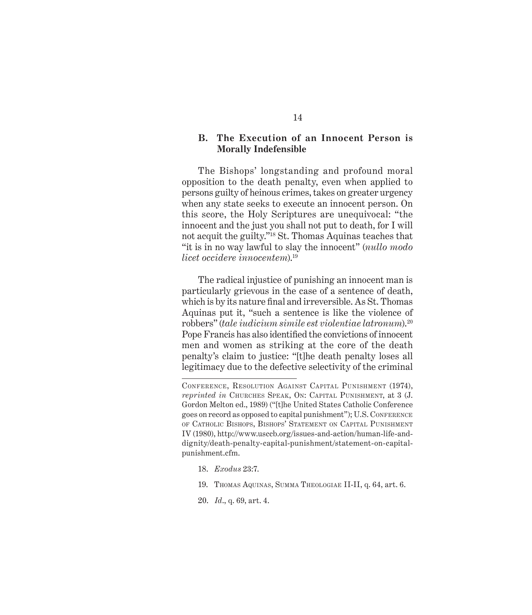#### **B. The Execution of an Innocent Person is Morally Indefensible**

The Bishops' longstanding and profound moral opposition to the death penalty, even when applied to persons guilty of heinous crimes, takes on greater urgency when any state seeks to execute an innocent person. On this score, the Holy Scriptures are unequivocal: "the innocent and the just you shall not put to death, for I will not acquit the guilty."18 St. Thomas Aquinas teaches that "it is in no way lawful to slay the innocent" (*nullo modo licet occidere innocentem*).19

The radical injustice of punishing an innocent man is particularly grievous in the case of a sentence of death, which is by its nature final and irreversible. As St. Thomas Aquinas put it, "such a sentence is like the violence of robbers" (*tale iudicium simile est violentiae latronum*).20 Pope Francis has also identified the convictions of innocent men and women as striking at the core of the death penalty's claim to justice: "[t]he death penalty loses all legitimacy due to the defective selectivity of the criminal

- 18. *Exodus* 23:7.
- 19. Thomas Aquinas, Summa Theologiae II-II, q. 64, art. 6.
- 20. *Id*., q. 69, art. 4.

Conference, Resolution Against Capital Punishment (1974), *reprinted in* CHURCHES SPEAK, ON: CAPITAL PUNISHMENT, at 3 (J. Gordon Melton ed., 1989) ("[t]he United States Catholic Conference goes on record as opposed to capital punishment"); U.S. Conference of Catholic Bishops, Bishops' Statement on Capital Punishment IV (1980), http://www.usccb.org/issues-and-action/human-life-anddignity/death-penalty-capital-punishment/statement-on-capitalpunishment.cfm.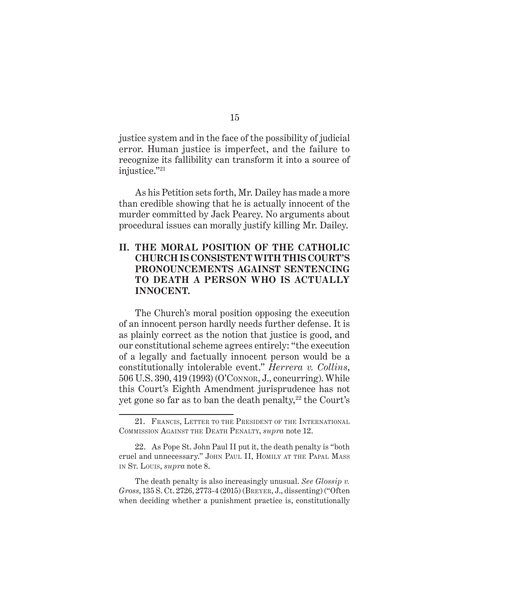justice system and in the face of the possibility of judicial error. Human justice is imperfect, and the failure to recognize its fallibility can transform it into a source of injustice."<sup>21</sup>

As his Petition sets forth, Mr. Dailey has made a more than credible showing that he is actually innocent of the murder committed by Jack Pearcy. No arguments about procedural issues can morally justify killing Mr. Dailey.

#### **II. THE MORAL POSITION OF THE CATHOLIC CHURCH IS CONSISTENT WITH THIS COURT'S PRONOUNCEMENTS AGAINST SENTENCING TO DEATH A PERSON WHO IS ACTUALLY INNOCENT.**

The Church's moral position opposing the execution of an innocent person hardly needs further defense. It is as plainly correct as the notion that justice is good, and our constitutional scheme agrees entirely: "the execution of a legally and factually innocent person would be a constitutionally intolerable event." *Herrera v. Collins*, 506 U.S. 390, 419 (1993) (O'Connor, J., concurring). While this Court's Eighth Amendment jurisprudence has not yet gone so far as to ban the death penalty,<sup>22</sup> the Court's

The death penalty is also increasingly unusual. *See Glossip v. Gross*, 135 S. Ct. 2726, 2773-4 (2015) (Breyer, J., dissenting) ("Often when deciding whether a punishment practice is, constitutionally

<sup>21.</sup> FRANCIS, LETTER TO THE PRESIDENT OF THE INTERNATIONAL Commission Against the Death Penalty, *supra* note 12.

<sup>22.</sup> As Pope St. John Paul II put it, the death penalty is "both cruel and unnecessary." John Paul II, Homily at the Papal Mass in St. Louis, *supra* note 8.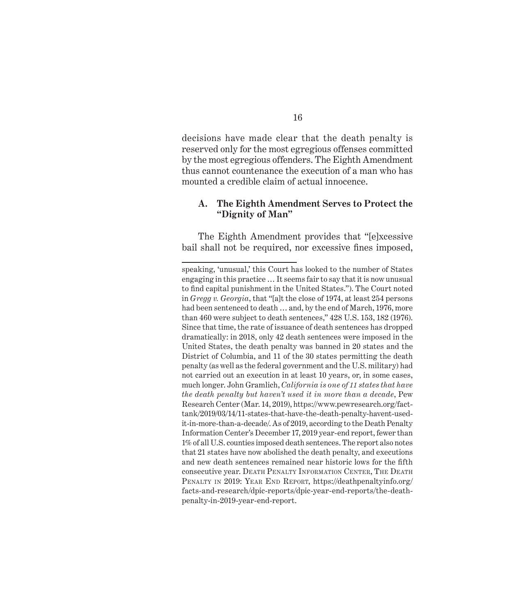decisions have made clear that the death penalty is reserved only for the most egregious offenses committed by the most egregious offenders. The Eighth Amendment thus cannot countenance the execution of a man who has mounted a credible claim of actual innocence.

#### **A. The Eighth Amendment Serves to Protect the "Dignity of Man"**

The Eighth Amendment provides that "[e]xcessive bail shall not be required, nor excessive fines imposed,

speaking, 'unusual,' this Court has looked to the number of States engaging in this practice … It seems fair to say that it is now unusual to find capital punishment in the United States."). The Court noted in *Gregg v. Georgia*, that "[a]t the close of 1974, at least 254 persons had been sentenced to death … and, by the end of March, 1976, more than 460 were subject to death sentences," 428 U.S. 153, 182 (1976). Since that time, the rate of issuance of death sentences has dropped dramatically: in 2018, only 42 death sentences were imposed in the United States, the death penalty was banned in 20 states and the District of Columbia, and 11 of the 30 states permitting the death penalty (as well as the federal government and the U.S. military) had not carried out an execution in at least 10 years, or, in some cases, much longer. John Gramlich, *California is one of 11 states that have the death penalty but haven't used it in more than a decade*, Pew Research Center (Mar. 14, 2019), https://www.pewresearch.org/facttank/2019/03/14/11-states-that-have-the-death-penalty-havent-usedit-in-more-than-a-decade/. As of 2019, according to the Death Penalty Information Center's December 17, 2019 year-end report, fewer than 1% of all U.S. counties imposed death sentences. The report also notes that 21 states have now abolished the death penalty, and executions and new death sentences remained near historic lows for the fifth consecutive year. DEATH PENALTY INFORMATION CENTER, THE DEATH PENALTY IN 2019: YEAR END REPORT, https://deathpenaltyinfo.org/ facts-and-research/dpic-reports/dpic-year-end-reports/the-deathpenalty-in-2019-year-end-report.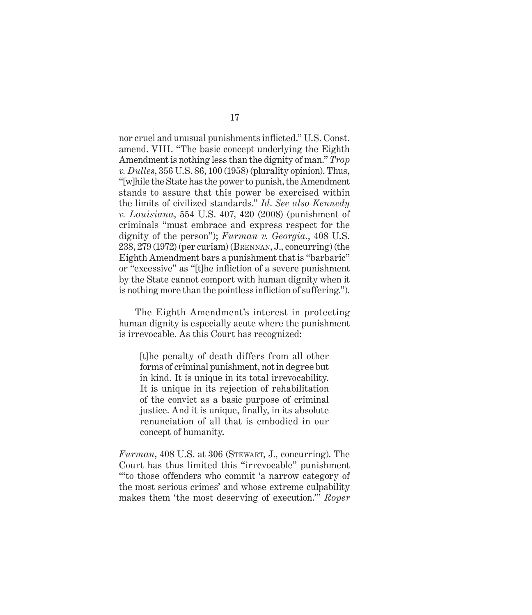nor cruel and unusual punishments inflicted." U.S. Const. amend. VIII. "The basic concept underlying the Eighth Amendment is nothing less than the dignity of man." *Trop v. Dulles*, 356 U.S. 86, 100 (1958) (plurality opinion). Thus, "[w]hile the State has the power to punish, the Amendment stands to assure that this power be exercised within the limits of civilized standards." *Id*. *See also Kennedy v. Louisiana*, 554 U.S. 407, 420 (2008) (punishment of criminals "must embrace and express respect for the dignity of the person"); *Furman v. Georgia.*, 408 U.S. 238, 279 (1972) (per curiam) (Brennan, J., concurring) (the Eighth Amendment bars a punishment that is "barbaric" or "excessive" as "[t]he infliction of a severe punishment by the State cannot comport with human dignity when it is nothing more than the pointless infliction of suffering.").

The Eighth Amendment's interest in protecting human dignity is especially acute where the punishment is irrevocable. As this Court has recognized:

[t]he penalty of death differs from all other forms of criminal punishment, not in degree but in kind. It is unique in its total irrevocability. It is unique in its rejection of rehabilitation of the convict as a basic purpose of criminal justice. And it is unique, finally, in its absolute renunciation of all that is embodied in our concept of humanity.

 $Furman$ , 408 U.S. at 306 (STEWART, J., concurring). The Court has thus limited this "irrevocable" punishment "'to those offenders who commit 'a narrow category of the most serious crimes' and whose extreme culpability makes them 'the most deserving of execution.'" *Roper*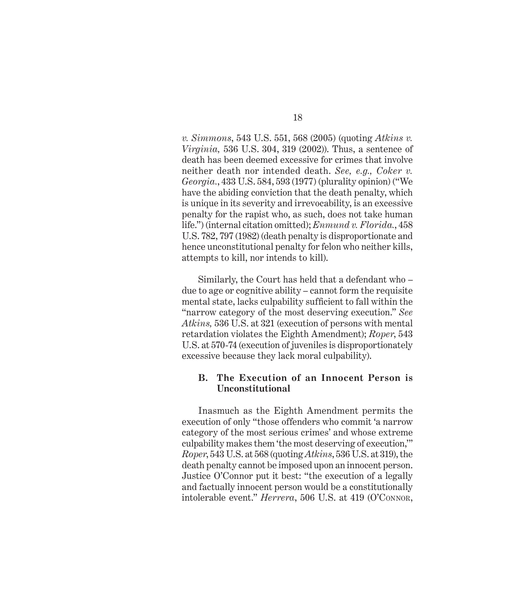*v. Simmons*, 543 U.S. 551, 568 (2005) (quoting *Atkins v. Virginia,* 536 U.S. 304, 319 (2002)). Thus, a sentence of death has been deemed excessive for crimes that involve neither death nor intended death. *See, e.g., Coker v. Georgia.*, 433 U.S. 584, 593 (1977) (plurality opinion) ("We have the abiding conviction that the death penalty, which is unique in its severity and irrevocability, is an excessive penalty for the rapist who, as such, does not take human life.") (internal citation omitted); *Enmund v. Florida.*, 458 U.S. 782, 797 (1982) (death penalty is disproportionate and hence unconstitutional penalty for felon who neither kills, attempts to kill, nor intends to kill).

Similarly, the Court has held that a defendant who – due to age or cognitive ability – cannot form the requisite mental state, lacks culpability sufficient to fall within the "narrow category of the most deserving execution." *See Atkins,* 536 U.S. at 321 (execution of persons with mental retardation violates the Eighth Amendment); *Roper*, 543 U.S. at 570-74 (execution of juveniles is disproportionately excessive because they lack moral culpability).

#### **B. The Execution of an Innocent Person is Unconstitutional**

Inasmuch as the Eighth Amendment permits the execution of only "those offenders who commit 'a narrow category of the most serious crimes' and whose extreme culpability makes them 'the most deserving of execution,'" *Roper*, 543 U.S. at 568 (quoting *Atkins*, 536 U.S. at 319), the death penalty cannot be imposed upon an innocent person. Justice O'Connor put it best: "the execution of a legally and factually innocent person would be a constitutionally intolerable event." *Herrera*, 506 U.S. at 419 (O'Connor,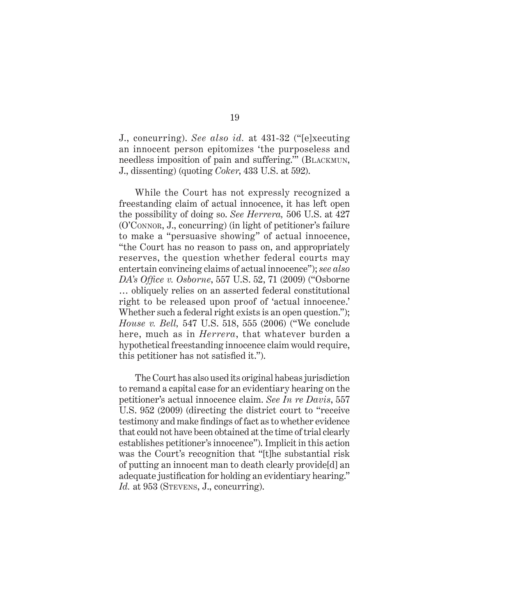J., concurring). *See also id.* at 431-32 ("[e]xecuting an innocent person epitomizes 'the purposeless and needless imposition of pain and suffering." (BLACKMUN, J., dissenting) (quoting *Coker*, 433 U.S. at 592).

While the Court has not expressly recognized a freestanding claim of actual innocence, it has left open the possibility of doing so. *See Herrera,* 506 U.S. at 427 (O'Connor, J., concurring) (in light of petitioner's failure to make a "persuasive showing" of actual innocence, "the Court has no reason to pass on, and appropriately reserves, the question whether federal courts may entertain convincing claims of actual innocence"); *see also DA's Office v. Osborne*, 557 U.S. 52, 71 (2009) ("Osborne … obliquely relies on an asserted federal constitutional right to be released upon proof of 'actual innocence.' Whether such a federal right exists is an open question."); *House v. Bell,* 547 U.S. 518, 555 (2006) ("We conclude here, much as in *Herrera*, that whatever burden a hypothetical freestanding innocence claim would require, this petitioner has not satisfied it.").

The Court has also used its original habeas jurisdiction to remand a capital case for an evidentiary hearing on the petitioner's actual innocence claim. *See In re Davis*, 557 U.S. 952 (2009) (directing the district court to "receive testimony and make findings of fact as to whether evidence that could not have been obtained at the time of trial clearly establishes petitioner's innocence"). Implicit in this action was the Court's recognition that "[t]he substantial risk of putting an innocent man to death clearly provide[d] an adequate justification for holding an evidentiary hearing." Id. at 953 (STEVENS, J., concurring).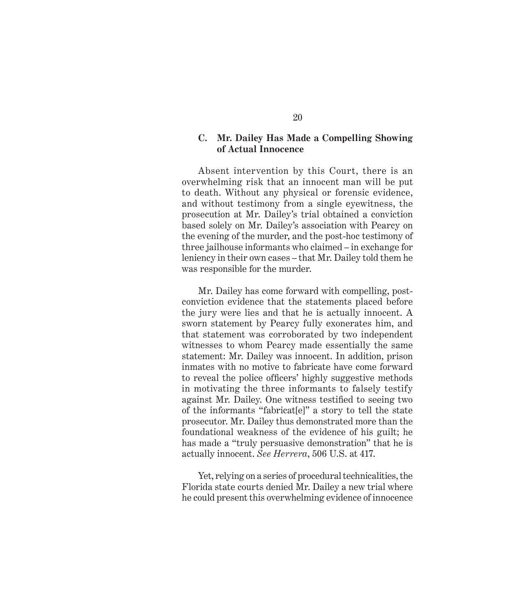#### **C. Mr. Dailey Has Made a Compelling Showing of Actual Innocence**

Absent intervention by this Court, there is an overwhelming risk that an innocent man will be put to death. Without any physical or forensic evidence, and without testimony from a single eyewitness, the prosecution at Mr. Dailey's trial obtained a conviction based solely on Mr. Dailey's association with Pearcy on the evening of the murder, and the post-hoc testimony of three jailhouse informants who claimed – in exchange for leniency in their own cases – that Mr. Dailey told them he was responsible for the murder.

Mr. Dailey has come forward with compelling, postconviction evidence that the statements placed before the jury were lies and that he is actually innocent. A sworn statement by Pearcy fully exonerates him, and that statement was corroborated by two independent witnesses to whom Pearcy made essentially the same statement: Mr. Dailey was innocent. In addition, prison inmates with no motive to fabricate have come forward to reveal the police officers' highly suggestive methods in motivating the three informants to falsely testify against Mr. Dailey. One witness testified to seeing two of the informants "fabricat[e]" a story to tell the state prosecutor. Mr. Dailey thus demonstrated more than the foundational weakness of the evidence of his guilt; he has made a "truly persuasive demonstration" that he is actually innocent. *See Herrera*, 506 U.S. at 417.

Yet, relying on a series of procedural technicalities, the Florida state courts denied Mr. Dailey a new trial where he could present this overwhelming evidence of innocence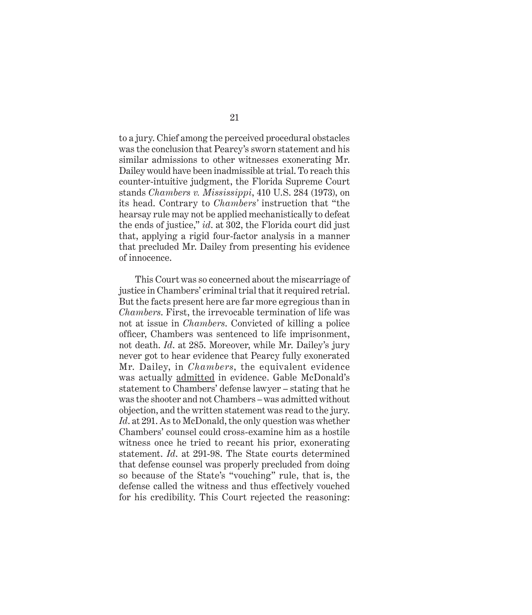to a jury. Chief among the perceived procedural obstacles was the conclusion that Pearcy's sworn statement and his similar admissions to other witnesses exonerating Mr. Dailey would have been inadmissible at trial. To reach this counter-intuitive judgment, the Florida Supreme Court stands *Chambers v. Mississippi*, 410 U.S. 284 (1973), on its head. Contrary to *Chambers'* instruction that "the hearsay rule may not be applied mechanistically to defeat the ends of justice," *id*. at 302, the Florida court did just that, applying a rigid four-factor analysis in a manner that precluded Mr. Dailey from presenting his evidence of innocence.

This Court was so concerned about the miscarriage of justice in Chambers' criminal trial that it required retrial. But the facts present here are far more egregious than in *Chambers*. First, the irrevocable termination of life was not at issue in *Chambers*. Convicted of killing a police officer, Chambers was sentenced to life imprisonment, not death. *Id*. at 285. Moreover, while Mr. Dailey's jury never got to hear evidence that Pearcy fully exonerated Mr. Dailey, in *Chambers*, the equivalent evidence was actually admitted in evidence. Gable McDonald's statement to Chambers' defense lawyer – stating that he was the shooter and not Chambers – was admitted without objection, and the written statement was read to the jury. Id. at 291. As to McDonald, the only question was whether Chambers' counsel could cross-examine him as a hostile witness once he tried to recant his prior, exonerating statement. *Id*. at 291-98. The State courts determined that defense counsel was properly precluded from doing so because of the State's "vouching" rule, that is, the defense called the witness and thus effectively vouched for his credibility. This Court rejected the reasoning: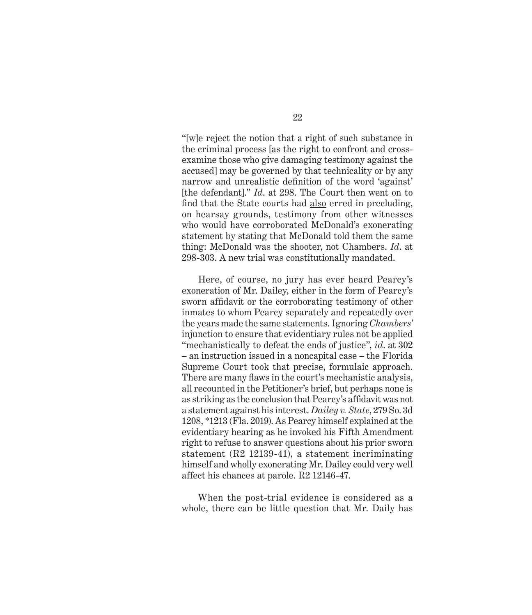"[w]e reject the notion that a right of such substance in the criminal process [as the right to confront and crossexamine those who give damaging testimony against the accused] may be governed by that technicality or by any narrow and unrealistic definition of the word 'against' [the defendant]." *Id*. at 298. The Court then went on to find that the State courts had also erred in precluding, on hearsay grounds, testimony from other witnesses who would have corroborated McDonald's exonerating statement by stating that McDonald told them the same thing: McDonald was the shooter, not Chambers. *Id*. at 298-303. A new trial was constitutionally mandated.

Here, of course, no jury has ever heard Pearcy's exoneration of Mr. Dailey, either in the form of Pearcy's sworn affidavit or the corroborating testimony of other inmates to whom Pearcy separately and repeatedly over the years made the same statements. Ignoring *Chambers'* injunction to ensure that evidentiary rules not be applied "mechanistically to defeat the ends of justice", *id*. at 302 – an instruction issued in a noncapital case – the Florida Supreme Court took that precise, formulaic approach. There are many flaws in the court's mechanistic analysis, all recounted in the Petitioner's brief, but perhaps none is as striking as the conclusion that Pearcy's affidavit was not a statement against his interest. *Dailey v. State*, 279 So. 3d 1208, \*1213 (Fla. 2019). As Pearcy himself explained at the evidentiary hearing as he invoked his Fifth Amendment right to refuse to answer questions about his prior sworn statement (R2 12139-41), a statement incriminating himself and wholly exonerating Mr. Dailey could very well affect his chances at parole. R2 12146-47.

When the post-trial evidence is considered as a whole, there can be little question that Mr. Daily has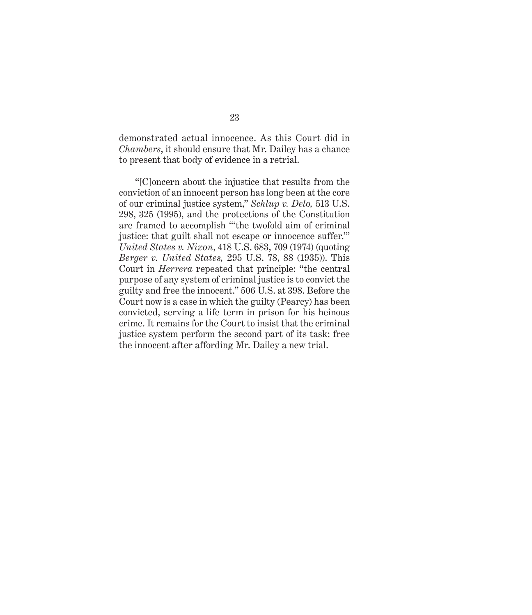demonstrated actual innocence. As this Court did in *Chambers*, it should ensure that Mr. Dailey has a chance to present that body of evidence in a retrial.

"[C]oncern about the injustice that results from the conviction of an innocent person has long been at the core of our criminal justice system," *Schlup v. Delo,* 513 U.S. 298, 325 (1995), and the protections of the Constitution are framed to accomplish "'the twofold aim of criminal justice: that guilt shall not escape or innocence suffer.'" *United States v. Nixon*, 418 U.S. 683, 709 (1974) (quoting *Berger v. United States,* 295 U.S. 78, 88 (1935)). This Court in *Herrera* repeated that principle: "the central purpose of any system of criminal justice is to convict the guilty and free the innocent." 506 U.S. at 398. Before the Court now is a case in which the guilty (Pearcy) has been convicted, serving a life term in prison for his heinous crime. It remains for the Court to insist that the criminal justice system perform the second part of its task: free the innocent after affording Mr. Dailey a new trial.